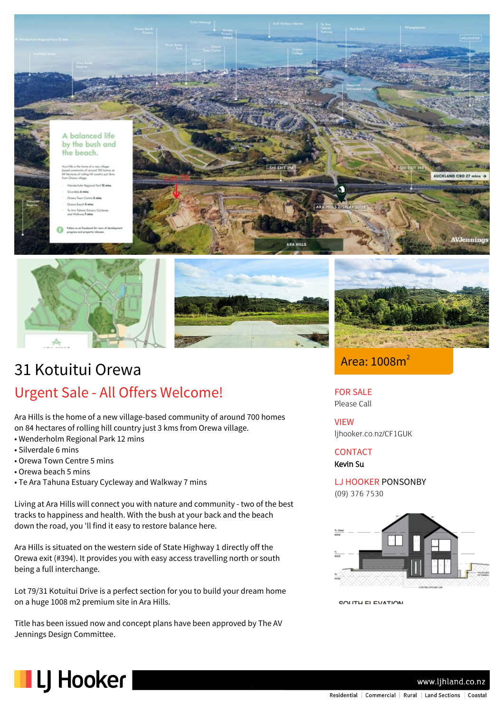







# 31 Kotuitui Orewa Urgent Sale - All Offers Welcome!

Ara Hills is the home of a new village-based community of around 700 homes on 84 hectares of rolling hill country just 3 kms from Orewa village.

- Wenderholm Regional Park 12 mins
- Silverdale 6 mins
- Orewa Town Centre 5 mins
- Orewa beach 5 mins
- Te Ara Tahuna Estuary Cycleway and Walkway 7 mins

Living at Ara Hills will connect you with nature and community - two of the best tracks to happiness and health. With the bush at your back and the beach down the road, you 'll find it easy to restore balance here.

Ara Hills is situated on the western side of State Highway 1 directly off the Orewa exit (#394). It provides you with easy access travelling north or south being a full interchange.

Lot 79/31 Kotuitui Drive is a perfect section for you to build your dream home on a huge 1008 m2 premium site in Ara Hills.

Title has been issued now and concept plans have been approved by The AV Jennings Design Committee.

Area: 1008m<sup>2</sup>

## FOR SALE

Please Call

VIEW ljhooker.co.nz/CF1GUK

**CONTACT** 

Kevin Su

LJ HOOKER PONSONBY (09) 376 7530



COUTH ELEVATION



www.lihland.co.nz